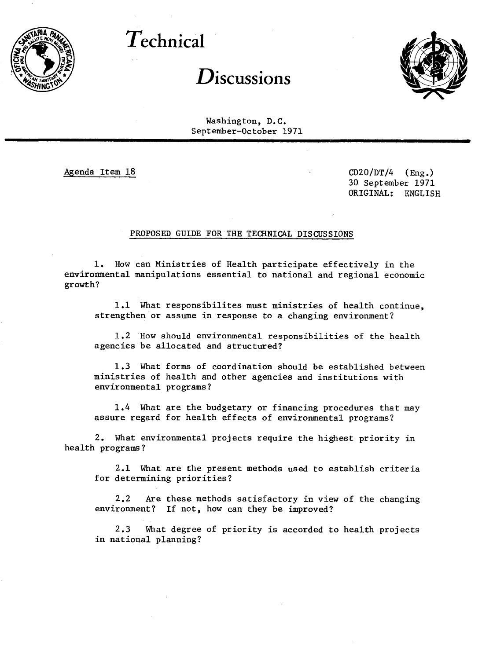

**Technical**

## Discussions



Washington, D.C. September-October 1971

Agenda Item 18 CD20/DT/4 (Eng.) 30 September 1971 ORIGINAL: ENGLISH

## PROPOSED GUIDE FOR THE TECHNICAL DISCUSSIONS

1. How can Ministries of Health participate effectively in the environmental manipulations essential to national and regional economic growth?

1.1 What responsibilites must ministries of health continue, strengthen or assume in response to a changing environment?

1.2 How should environmental responsibilities of the health agencies be allocated and structured?

1.3 What forms of coordination should be established between ministries of health and other agencies and institutions with environmental programs?

1.4 What are the budgetary or financing procedures that may assure regard for health effects of environmental programs?

2. What environmental projects require the highest priority in health programs?

2.1 What are the present methods used to establish criteria for determining priorities?

2.2 Are these methods satisfactory in view of the changing environment? If not, how can they be improved?

2.3 What degree of priority is accorded to health projects in national planning?